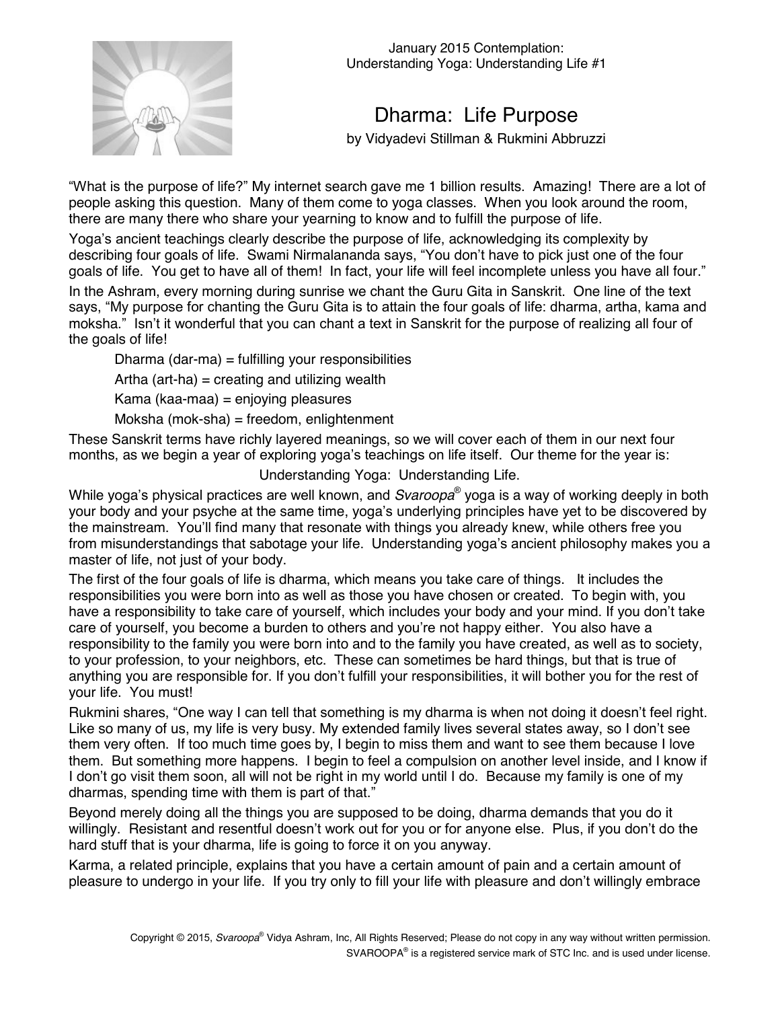

January 2015 Contemplation: Understanding Yoga: Understanding Life #1

## Dharma: Life Purpose

by Vidyadevi Stillman & Rukmini Abbruzzi

ìWhat is the purpose of life?î My internet search gave me 1 billion results. Amazing! There are a lot of people asking this question. Many of them come to yoga classes. When you look around the room, there are many there who share your yearning to know and to fulfill the purpose of life.

Yogaís ancient teachings clearly describe the purpose of life, acknowledging its complexity by describing four goals of life. Swami Nirmalananda says, "You don't have to pick just one of the four goals of life. You get to have all of them! In fact, your life will feel incomplete unless you have all four."

In the Ashram, every morning during sunrise we chant the Guru Gita in Sanskrit. One line of the text says, "My purpose for chanting the Guru Gita is to attain the four goals of life: dharma, artha, kama and moksha." Isn't it wonderful that you can chant a text in Sanskrit for the purpose of realizing all four of the goals of life!

Dharma (dar-ma) = fulfilling your responsibilities

Artha (art-ha) = creating and utilizing wealth

Kama (kaa-maa) = enjoying pleasures

Moksha (mok-sha) = freedom, enlightenment

These Sanskrit terms have richly layered meanings, so we will cover each of them in our next four months, as we begin a year of exploring yoga's teachings on life itself. Our theme for the year is:

Understanding Yoga: Understanding Life.

While yoga's physical practices are well known, and *Svaroopa*<sup>®</sup> yoga is a way of working deeply in both your body and your psyche at the same time, yoga's underlying principles have yet to be discovered by the mainstream. Youíll find many that resonate with things you already knew, while others free you from misunderstandings that sabotage your life. Understanding yoga's ancient philosophy makes you a master of life, not just of your body.

The first of the four goals of life is dharma, which means you take care of things. It includes the responsibilities you were born into as well as those you have chosen or created. To begin with, you have a responsibility to take care of yourself, which includes your body and your mind. If you don't take care of yourself, you become a burden to others and you're not happy either. You also have a responsibility to the family you were born into and to the family you have created, as well as to society, to your profession, to your neighbors, etc. These can sometimes be hard things, but that is true of anything you are responsible for. If you don't fulfill your responsibilities, it will bother you for the rest of your life. You must!

Rukmini shares, "One way I can tell that something is my dharma is when not doing it doesn't feel right. Like so many of us, my life is very busy. My extended family lives several states away, so I donít see them very often. If too much time goes by, I begin to miss them and want to see them because I love them. But something more happens. I begin to feel a compulsion on another level inside, and I know if I don't go visit them soon, all will not be right in my world until I do. Because my family is one of my dharmas, spending time with them is part of that."

Beyond merely doing all the things you are supposed to be doing, dharma demands that you do it willingly. Resistant and resentful doesn't work out for you or for anyone else. Plus, if you don't do the hard stuff that is your dharma, life is going to force it on you anyway.

Karma, a related principle, explains that you have a certain amount of pain and a certain amount of pleasure to undergo in your life. If you try only to fill your life with pleasure and donít willingly embrace